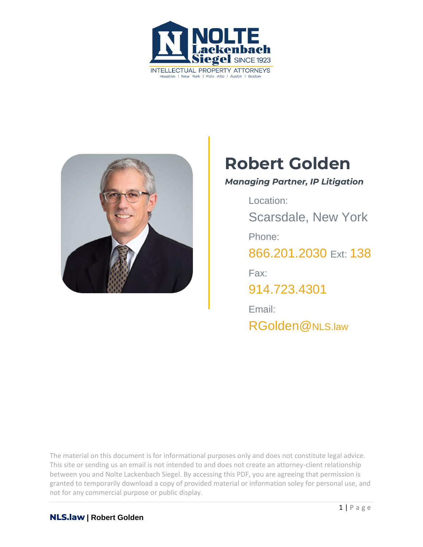



# **Robert Golden**

#### *Managing Partner, IP Litigation*

Location: Scarsdale, New York Phone: [866.201.2030](tel:+1942629223) Ext: 138 Fax: [914.723.4301](tel:+19147234301) Email: [RGolden@](mailto:rGolden@NLS.law)NLS.law

The material on this document is for informational purposes only and does not constitute legal advice. This site or sending us an email is not intended to and does not create an attorney-client relationship between you and Nolte Lackenbach Siegel. By accessing this PDF, you are agreeing that permission is granted to temporarily download a copy of provided material or information soley for personal use, and not for any commercial purpose or public display.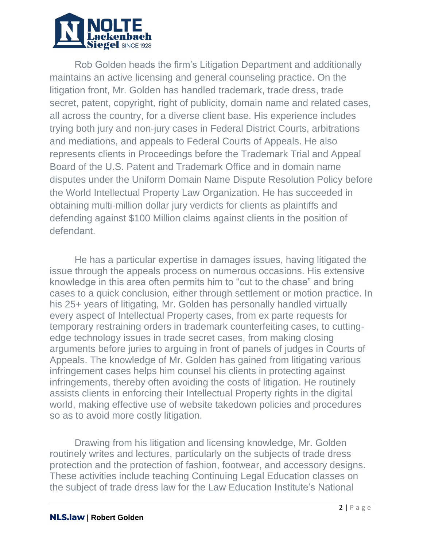

Rob Golden heads the firm's Litigation Department and additionally maintains an active licensing and general counseling practice. On the litigation front, Mr. Golden has handled trademark, trade dress, trade secret, patent, copyright, right of publicity, domain name and related cases, all across the country, for a diverse client base. His experience includes trying both jury and non-jury cases in Federal District Courts, arbitrations and mediations, and appeals to Federal Courts of Appeals. He also represents clients in Proceedings before the Trademark Trial and Appeal Board of the U.S. Patent and Trademark Office and in domain name disputes under the Uniform Domain Name Dispute Resolution Policy before the World Intellectual Property Law Organization. He has succeeded in obtaining multi-million dollar jury verdicts for clients as plaintiffs and defending against \$100 Million claims against clients in the position of defendant.

He has a particular expertise in damages issues, having litigated the issue through the appeals process on numerous occasions. His extensive knowledge in this area often permits him to "cut to the chase" and bring cases to a quick conclusion, either through settlement or motion practice. In his 25+ years of litigating, Mr. Golden has personally handled virtually every aspect of Intellectual Property cases, from ex parte requests for temporary restraining orders in trademark counterfeiting cases, to cuttingedge technology issues in trade secret cases, from making closing arguments before juries to arguing in front of panels of judges in Courts of Appeals. The knowledge of Mr. Golden has gained from litigating various infringement cases helps him counsel his clients in protecting against infringements, thereby often avoiding the costs of litigation. He routinely assists clients in enforcing their Intellectual Property rights in the digital world, making effective use of website takedown policies and procedures so as to avoid more costly litigation.

Drawing from his litigation and licensing knowledge, Mr. Golden routinely writes and lectures, particularly on the subjects of trade dress protection and the protection of fashion, footwear, and accessory designs. These activities include teaching Continuing Legal Education classes on the subject of trade dress law for the Law Education Institute's National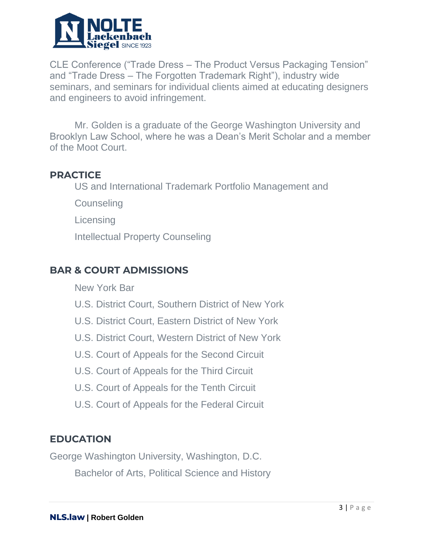

CLE Conference ("Trade Dress – The Product Versus Packaging Tension" and "Trade Dress – The Forgotten Trademark Right"), industry wide seminars, and seminars for individual clients aimed at educating designers and engineers to avoid infringement.

Mr. Golden is a graduate of the George Washington University and Brooklyn Law School, where he was a Dean's Merit Scholar and a member of the Moot Court.

## **PRACTICE**

US and International Trademark Portfolio Management and

**Counseling** 

**Licensing** 

Intellectual Property Counseling

# **BAR & COURT ADMISSIONS**

New York Bar

- U.S. District Court, Southern District of New York
- U.S. District Court, Eastern District of New York
- U.S. District Court, Western District of New York
- U.S. Court of Appeals for the Second Circuit
- U.S. Court of Appeals for the Third Circuit
- U.S. Court of Appeals for the Tenth Circuit
- U.S. Court of Appeals for the Federal Circuit

## **EDUCATION**

George Washington University, Washington, D.C. Bachelor of Arts, Political Science and History